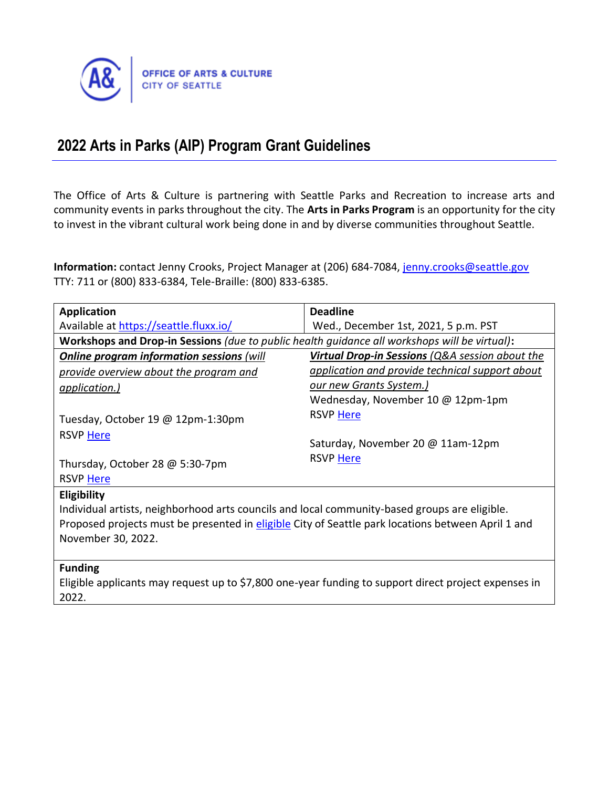

# **2022 Arts in Parks (AIP) Program Grant Guidelines**

The Office of Arts & Culture is partnering with Seattle Parks and Recreation to increase arts and community events in parks throughout the city. The **Arts in Parks Program** is an opportunity for the city to invest in the vibrant cultural work being done in and by diverse communities throughout Seattle.

Information: contact Jenny Crooks, Project Manager at (206) 684-7084, *jenny.crooks@seattle.gov* TTY: 711 or (800) 833-6384, Tele-Braille: (800) 833-6385.

| <b>Application</b>                                                                                   | <b>Deadline</b>                                 |
|------------------------------------------------------------------------------------------------------|-------------------------------------------------|
| Available at https://seattle.fluxx.io/                                                               | Wed., December 1st, 2021, 5 p.m. PST            |
| Workshops and Drop-in Sessions (due to public health guidance all workshops will be virtual):        |                                                 |
| <b>Online program information sessions (will</b>                                                     | Virtual Drop-in Sessions (Q&A session about the |
| provide overview about the program and                                                               | application and provide technical support about |
| <i><u>application.)</u></i>                                                                          | <u>our new Grants System.)</u>                  |
|                                                                                                      | Wednesday, November 10 @ 12pm-1pm               |
| Tuesday, October 19 @ 12pm-1:30pm                                                                    | <b>RSVP Here</b>                                |
| <b>RSVP Here</b>                                                                                     |                                                 |
|                                                                                                      | Saturday, November 20 @ 11am-12pm               |
| Thursday, October 28 @ 5:30-7pm                                                                      | <b>RSVP Here</b>                                |
| <b>RSVP Here</b>                                                                                     |                                                 |
| Eligibility                                                                                          |                                                 |
| Individual artists, neighborhood arts councils and local community-based groups are eligible.        |                                                 |
| Proposed projects must be presented in eligible City of Seattle park locations between April 1 and   |                                                 |
| November 30, 2022.                                                                                   |                                                 |
|                                                                                                      |                                                 |
| <b>Funding</b>                                                                                       |                                                 |
| Eligible applicants may request up to \$7,800 one-year funding to support direct project expenses in |                                                 |
| 2022.                                                                                                |                                                 |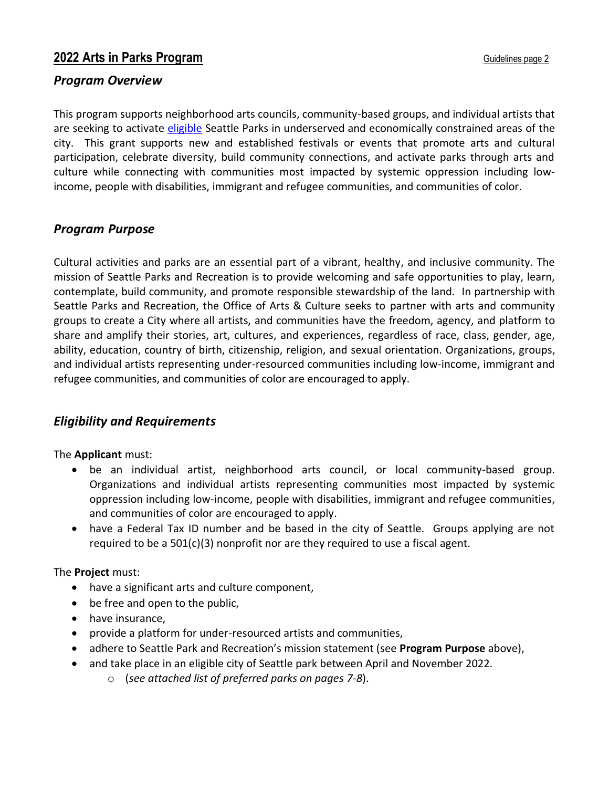### *Program Overview*

This program supports neighborhood arts councils, community-based groups, and individual artists that are seeking to activate [eligible](#page-6-0) Seattle Parks in underserved and economically constrained areas of the city. This grant supports new and established festivals or events that promote arts and cultural participation, celebrate diversity, build community connections, and activate parks through arts and culture while connecting with communities most impacted by systemic oppression including lowincome, people with disabilities, immigrant and refugee communities, and communities of color.

### *Program Purpose*

Cultural activities and parks are an essential part of a vibrant, healthy, and inclusive community. The mission of Seattle Parks and Recreation is to provide welcoming and safe opportunities to play, learn, contemplate, build community, and promote responsible stewardship of the land. In partnership with Seattle Parks and Recreation, the Office of Arts & Culture seeks to partner with arts and community groups to create a City where all artists, and communities have the freedom, agency, and platform to share and amplify their stories, art, cultures, and experiences, regardless of race, class, gender, age, ability, education, country of birth, citizenship, religion, and sexual orientation. Organizations, groups, and individual artists representing under-resourced communities including low-income, immigrant and refugee communities, and communities of color are encouraged to apply.

### *Eligibility and Requirements*

The **Applicant** must:

- be an individual artist, neighborhood arts council, or local community-based group. Organizations and individual artists representing communities most impacted by systemic oppression including low-income, people with disabilities, immigrant and refugee communities, and communities of color are encouraged to apply.
- have a Federal Tax ID number and be based in the city of Seattle. Groups applying are not required to be a  $501(c)(3)$  nonprofit nor are they required to use a fiscal agent.

#### The **Project** must:

- have a significant arts and culture component,
- be free and open to the public,
- have insurance,
- provide a platform for under-resourced artists and communities,
- adhere to Seattle Park and Recreation's mission statement (see **Program Purpose** above),
- and take place in an eligible city of Seattle park between April and November 2022.
	- o (*see attached list of preferred parks on pages 7-8*).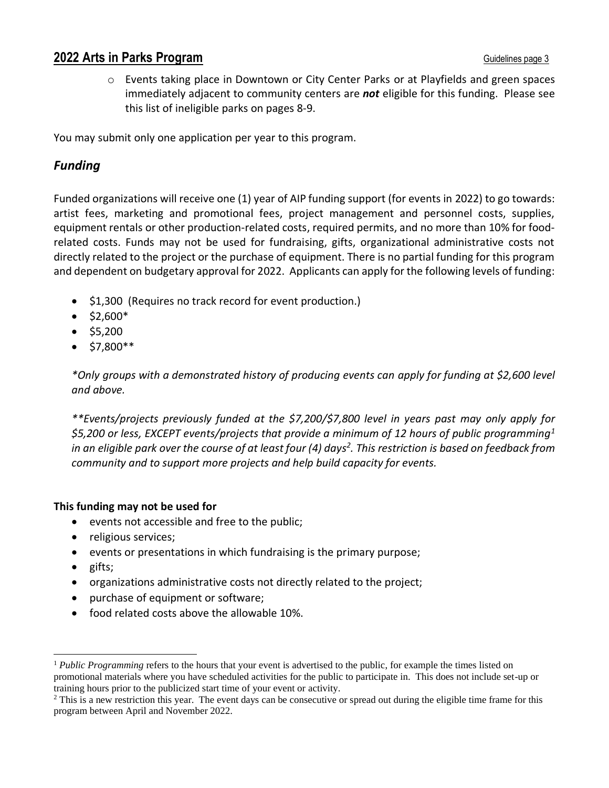o Events taking place in Downtown or City Center Parks or at Playfields and green spaces immediately adjacent to community centers are *not* eligible for this funding. Please see this list of ineligible parks on pages 8-9.

You may submit only one application per year to this program.

### *Funding*

Funded organizations will receive one (1) year of AIP funding support (for events in 2022) to go towards: artist fees, marketing and promotional fees, project management and personnel costs, supplies, equipment rentals or other production-related costs, required permits, and no more than 10% for foodrelated costs. Funds may not be used for fundraising, gifts, organizational administrative costs not directly related to the project or the purchase of equipment. There is no partial funding for this program and dependent on budgetary approval for 2022. Applicants can apply for the following levels of funding:

- \$1,300 (Requires no track record for event production.)
- $\bullet$  \$2,600\*
- \$5,200
- $\bullet$  \$7.800\*\*

*\*Only groups with a demonstrated history of producing events can apply for funding at \$2,600 level and above.*

*\*\*Events/projects previously funded at the \$7,200/\$7,800 level in years past may only apply for \$5,200 or less, EXCEPT events/projects that provide a minimum of 12 hours of public programming<sup>1</sup> in an eligible park over the course of at least four (4) days<sup>2</sup> . This restriction is based on feedback from community and to support more projects and help build capacity for events.*

### **This funding may not be used for**

- events not accessible and free to the public;
- religious services;
- events or presentations in which fundraising is the primary purpose;
- gifts;
- organizations administrative costs not directly related to the project;
- purchase of equipment or software;
- food related costs above the allowable 10%.

<sup>1</sup> *Public Programming* refers to the hours that your event is advertised to the public, for example the times listed on promotional materials where you have scheduled activities for the public to participate in. This does not include set-up or training hours prior to the publicized start time of your event or activity.

<sup>&</sup>lt;sup>2</sup> This is a new restriction this year. The event days can be consecutive or spread out during the eligible time frame for this program between April and November 2022.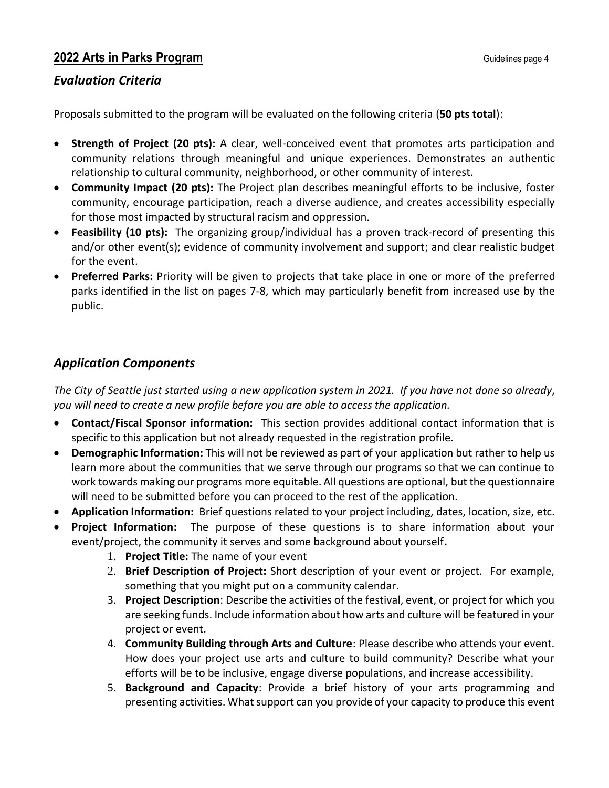### *Evaluation Criteria*

Proposals submitted to the program will be evaluated on the following criteria (**50 pts total**):

- **Strength of Project (20 pts):** A clear, well-conceived event that promotes arts participation and community relations through meaningful and unique experiences. Demonstrates an authentic relationship to cultural community, neighborhood, or other community of interest.
- **Community Impact (20 pts):** The Project plan describes meaningful efforts to be inclusive, foster community, encourage participation, reach a diverse audience, and creates accessibility especially for those most impacted by structural racism and oppression.
- **Feasibility (10 pts):** The organizing group/individual has a proven track-record of presenting this and/or other event(s); evidence of community involvement and support; and clear realistic budget for the event.
- **Preferred Parks:** Priority will be given to projects that take place in one or more of the preferred parks identified in the list on pages 7-8, which may particularly benefit from increased use by the public.

# *Application Components*

*The City of Seattle just started using a new application system in 2021. If you have not done so already, you will need to create a new profile before you are able to access the application.* 

- **Contact/Fiscal Sponsor information:** This section provides additional contact information that is specific to this application but not already requested in the registration profile.
- **Demographic Information:** This will not be reviewed as part of your application but rather to help us learn more about the communities that we serve through our programs so that we can continue to work towards making our programs more equitable. All questions are optional, but the questionnaire will need to be submitted before you can proceed to the rest of the application.
- **Application Information:** Brief questions related to your project including, dates, location, size, etc.
- **Project Information:** The purpose of these questions is to share information about your event/project, the community it serves and some background about yourself**.**
	- 1. **Project Title:** The name of your event
	- 2. **Brief Description of Project:** Short description of your event or project. For example, something that you might put on a community calendar.
	- 3. **Project Description**: Describe the activities of the festival, event, or project for which you are seeking funds. Include information about how arts and culture will be featured in your project or event.
	- 4. **Community Building through Arts and Culture**: Please describe who attends your event. How does your project use arts and culture to build community? Describe what your efforts will be to be inclusive, engage diverse populations, and increase accessibility.
	- 5. **Background and Capacity**: Provide a brief history of your arts programming and presenting activities. What support can you provide of your capacity to produce this event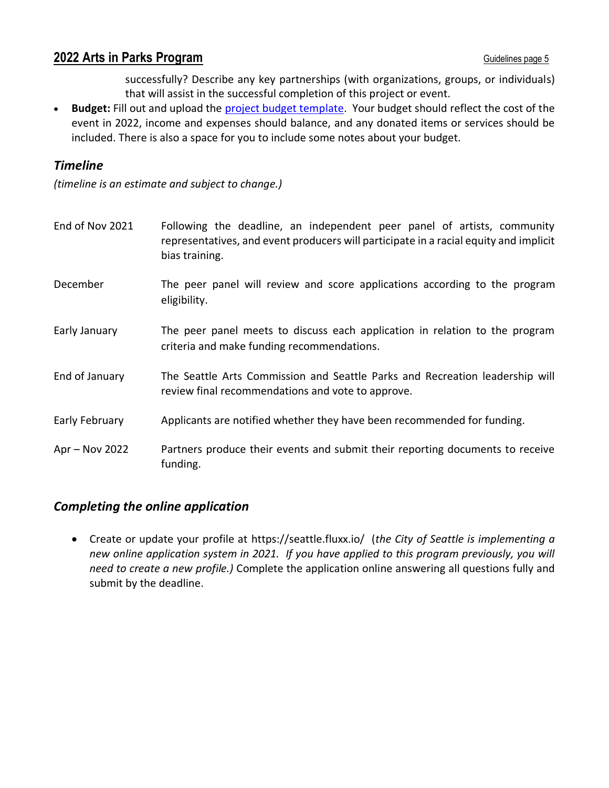successfully? Describe any key partnerships (with organizations, groups, or individuals) that will assist in the successful completion of this project or event.

• **Budget:** Fill out and upload the [project budget template.](http://www.seattle.gov/arts/programs/grants/arts-in-parks-program) Your budget should reflect the cost of the event in 2022, income and expenses should balance, and any donated items or services should be included. There is also a space for you to include some notes about your budget.

### *Timeline*

*(timeline is an estimate and subject to change.)* 

| End of Nov 2021 | Following the deadline, an independent peer panel of artists, community<br>representatives, and event producers will participate in a racial equity and implicit<br>bias training. |
|-----------------|------------------------------------------------------------------------------------------------------------------------------------------------------------------------------------|
| December        | The peer panel will review and score applications according to the program<br>eligibility.                                                                                         |
| Early January   | The peer panel meets to discuss each application in relation to the program<br>criteria and make funding recommendations.                                                          |
| End of January  | The Seattle Arts Commission and Seattle Parks and Recreation leadership will<br>review final recommendations and vote to approve.                                                  |
| Early February  | Applicants are notified whether they have been recommended for funding.                                                                                                            |
| Apr - Nov 2022  | Partners produce their events and submit their reporting documents to receive<br>funding.                                                                                          |

# *Completing the online application*

• Create or update your profile at https://seattle.fluxx.io/ (*the City of Seattle is implementing a new online application system in 2021. If you have applied to this program previously, you will need to create a new profile.)* Complete the application online answering all questions fully and submit by the deadline.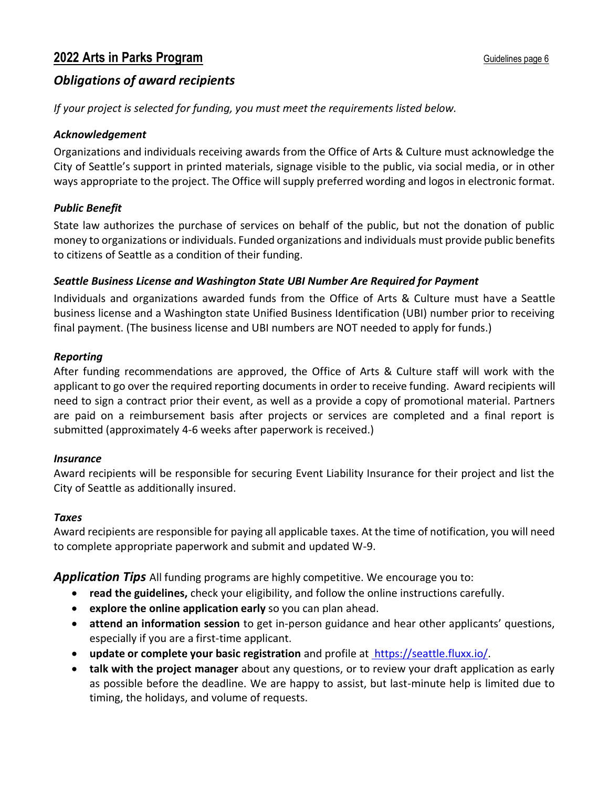# *Obligations of award recipients*

*If your project is selected for funding, you must meet the requirements listed below.*

### *Acknowledgement*

Organizations and individuals receiving awards from the Office of Arts & Culture must acknowledge the City of Seattle's support in printed materials, signage visible to the public, via social media, or in other ways appropriate to the project. The Office will supply preferred wording and logos in electronic format.

### *Public Benefit*

State law authorizes the purchase of services on behalf of the public, but not the donation of public money to organizations or individuals. Funded organizations and individuals must provide public benefits to citizens of Seattle as a condition of their funding.

### *Seattle Business License and Washington State UBI Number Are Required for Payment*

Individuals and organizations awarded funds from the Office of Arts & Culture must have a Seattle business license and a Washington state Unified Business Identification (UBI) number prior to receiving final payment. (The business license and UBI numbers are NOT needed to apply for funds.)

#### *Reporting*

After funding recommendations are approved, the Office of Arts & Culture staff will work with the applicant to go over the required reporting documents in order to receive funding. Award recipients will need to sign a contract prior their event, as well as a provide a copy of promotional material. Partners are paid on a reimbursement basis after projects or services are completed and a final report is submitted (approximately 4-6 weeks after paperwork is received.)

### *Insurance*

Award recipients will be responsible for securing Event Liability Insurance for their project and list the City of Seattle as additionally insured.

#### *Taxes*

Award recipients are responsible for paying all applicable taxes. At the time of notification, you will need to complete appropriate paperwork and submit and updated W-9.

*Application Tips* All funding programs are highly competitive. We encourage you to:

- **read the guidelines,** check your eligibility, and follow the online instructions carefully.
- **explore the online application early** so you can plan ahead.
- **attend an information session** to get in-person guidance and hear other applicants' questions, especially if you are a first-time applicant.
- **update or complete your basic registration** and profile at https://seattle.fluxx.io/.
- **talk with the project manager** about any questions, or to review your draft application as early as possible before the deadline. We are happy to assist, but last-minute help is limited due to timing, the holidays, and volume of requests.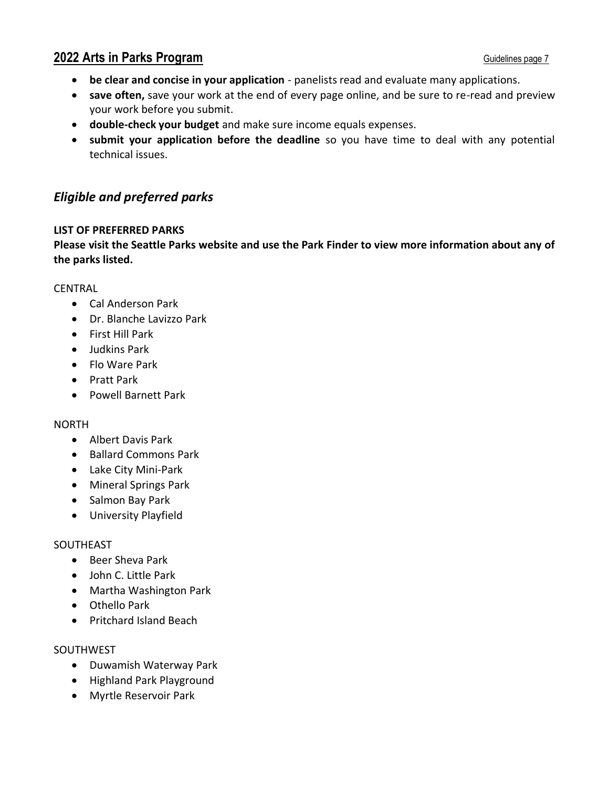- **be clear and concise in your application** panelists read and evaluate many applications.
- **save often,** save your work at the end of every page online, and be sure to re-read and preview your work before you submit.
- **double-check your budget** and make sure income equals expenses.
- **submit your application before the deadline** so you have time to deal with any potential technical issues.

### <span id="page-6-0"></span>*Eligible and preferred parks*

#### **LIST OF PREFERRED PARKS**

**Please visit the Seattle Parks [website](https://www.seattle.gov/parks/find) and use the Park Finder to view more information about any of the parks listed.**

#### CENTRAL

- Cal Anderson Park
- Dr. Blanche Lavizzo Park
- First Hill Park
- Judkins Park
- Flo Ware Park
- Pratt Park
- Powell Barnett Park

#### NORTH

- Albert Davis Park
- Ballard Commons Park
- Lake City Mini-Park
- Mineral Springs Park
- Salmon Bay Park
- University Playfield

#### SOUTHEAST

- Beer Sheva Park
- John C. Little Park
- Martha Washington Park
- Othello Park
- Pritchard Island Beach

#### SOUTHWEST

- Duwamish Waterway Park
- Highland Park Playground
- Myrtle Reservoir Park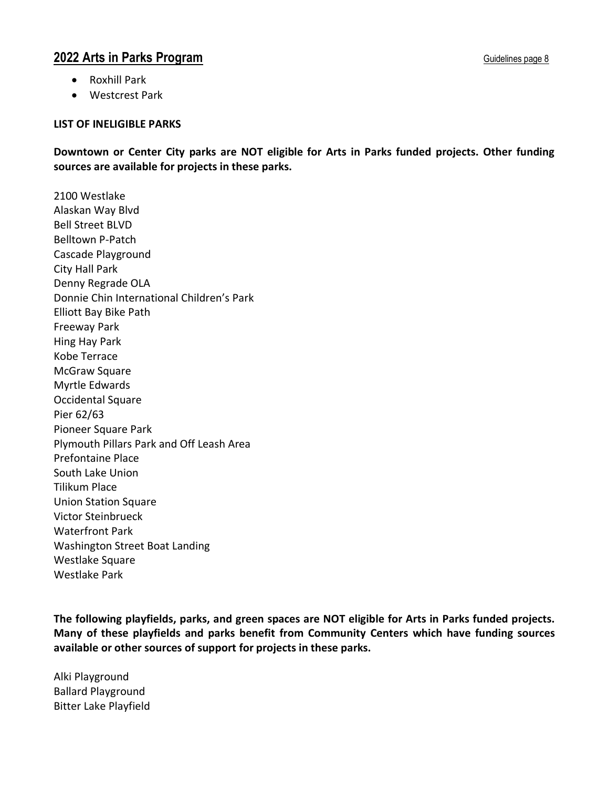- Roxhill Park
- Westcrest Park

#### **LIST OF INELIGIBLE PARKS**

**Downtown or Center City parks are NOT eligible for Arts in Parks funded projects. Other funding sources are available for projects in these parks.**

2100 Westlake Alaskan Way Blvd Bell Street BLVD Belltown P-Patch Cascade Playground City Hall Park Denny Regrade OLA Donnie Chin International Children's Park Elliott Bay Bike Path Freeway Park Hing Hay Park Kobe Terrace McGraw Square Myrtle Edwards Occidental Square Pier 62/63 Pioneer Square Park Plymouth Pillars Park and Off Leash Area Prefontaine Place South Lake Union Tilikum Place Union Station Square Victor Steinbrueck Waterfront Park Washington Street Boat Landing Westlake Square Westlake Park

**The following playfields, parks, and green spaces are NOT eligible for Arts in Parks funded projects. Many of these playfields and parks benefit from Community Centers which have funding sources available or other sources of support for projects in these parks.**

Alki Playground Ballard Playground Bitter Lake Playfield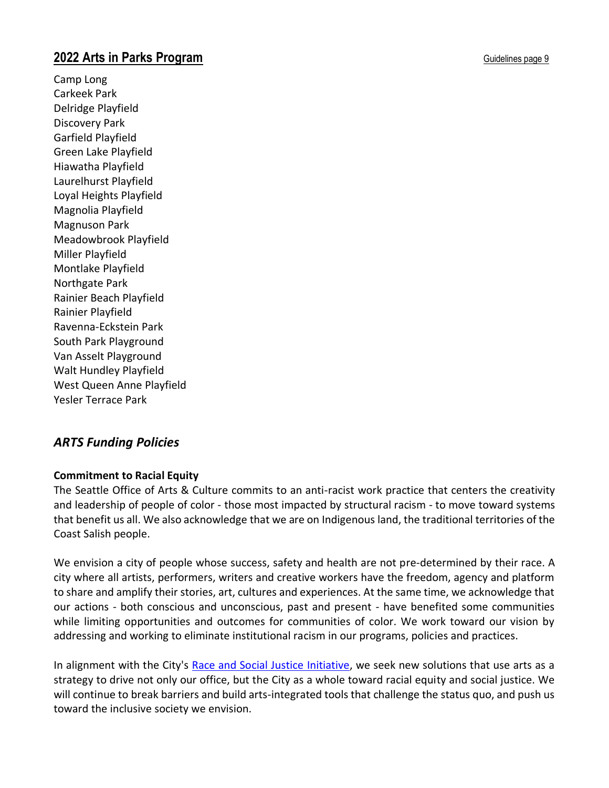Camp Long Carkeek Park Delridge Playfield Discovery Park Garfield Playfield Green Lake Playfield Hiawatha Playfield Laurelhurst Playfield Loyal Heights Playfield Magnolia Playfield Magnuson Park Meadowbrook Playfield Miller Playfield Montlake Playfield Northgate Park Rainier Beach Playfield Rainier Playfield Ravenna-Eckstein Park South Park Playground Van Asselt Playground Walt Hundley Playfield West Queen Anne Playfield Yesler Terrace Park

# *ARTS Funding Policies*

### **Commitment to Racial Equity**

The Seattle Office of Arts & Culture commits to an anti-racist work practice that centers the creativity and leadership of people of color - those most impacted by structural racism - to move toward systems that benefit us all. We also acknowledge that we are on Indigenous land, the traditional territories of the Coast Salish people.

We envision a city of people whose success, safety and health are not pre-determined by their race. A city where all artists, performers, writers and creative workers have the freedom, agency and platform to share and amplify their stories, art, cultures and experiences. At the same time, we acknowledge that our actions - both conscious and unconscious, past and present - have benefited some communities while limiting opportunities and outcomes for communities of color. We work toward our vision by addressing and working to eliminate institutional racism in our programs, policies and practices.

In alignment with the City's [Race and Social Justice Initiative,](http://www.seattle.gov/rsji) we seek new solutions that use arts as a strategy to drive not only our office, but the City as a whole toward racial equity and social justice. We will continue to break barriers and build arts-integrated tools that challenge the status quo, and push us toward the inclusive society we envision.